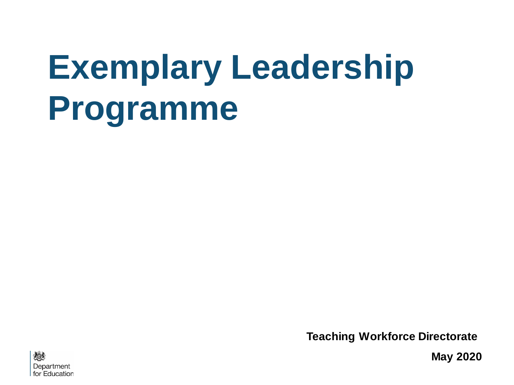# **Exemplary Leadership Programme**

**Teaching Workforce Directorate**



**May 2020**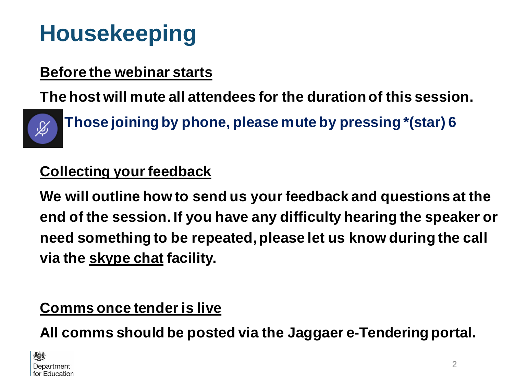### **Housekeeping**

#### **Before the webinar starts**

**The host will mute all attendees for the duration of this session.**



**- Those joining by phone, please mute by pressing \*(star) 6**

#### **Collecting your feedback**

**We will outline how to send us your feedback and questions at the end of the session. If you have any difficulty hearing the speaker or need something to be repeated, please let us know during the call via the skype chat facility.**

#### **Comms once tender is live**

**All comms should be posted via the Jaggaer e-Tendering portal.**

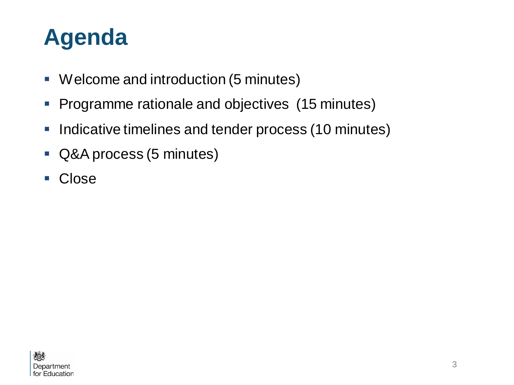#### **Agenda**

- Welcome and introduction (5 minutes)
- **Programme rationale and objectives (15 minutes)**
- **.** Indicative timelines and tender process (10 minutes)
- Q&A process (5 minutes)
- Close

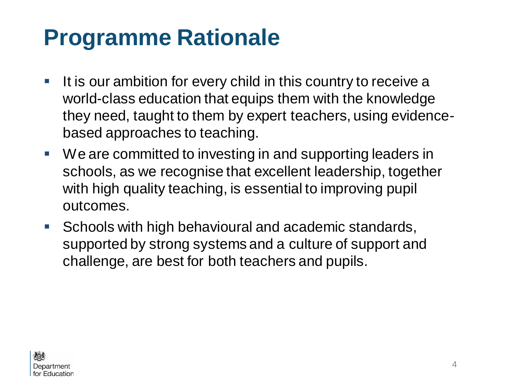#### **Programme Rationale**

- **If is our ambition for every child in this country to receive a** world-class education that equips them with the knowledge they need, taught to them by expert teachers, using evidencebased approaches to teaching.
- We are committed to investing in and supporting leaders in schools, as we recognise that excellent leadership, together with high quality teaching, is essential to improving pupil outcomes.
- Schools with high behavioural and academic standards, supported by strong systems and a culture of support and challenge, are best for both teachers and pupils.

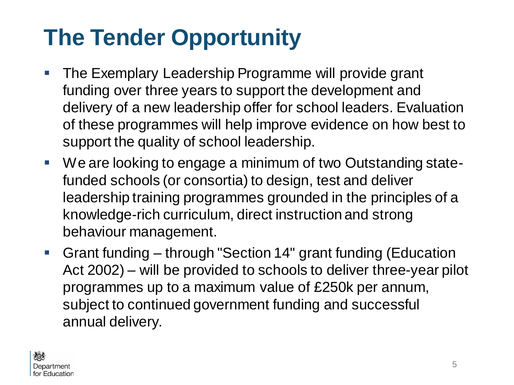# **The Tender Opportunity**

- **The Exemplary Leadership Programme will provide grant** funding over three years to support the development and delivery of a new leadership offer for school leaders. Evaluation of these programmes will help improve evidence on how best to support the quality of school leadership.
- We are looking to engage a minimum of two Outstanding statefunded schools (or consortia) to design, test and deliver leadership training programmes grounded in the principles of a knowledge-rich curriculum, direct instruction and strong behaviour management.
- Grant funding through "Section 14" grant funding (Education Act 2002) – will be provided to schools to deliver three-year pilot programmes up to a maximum value of £250k per annum, subject to continued government funding and successful annual delivery.

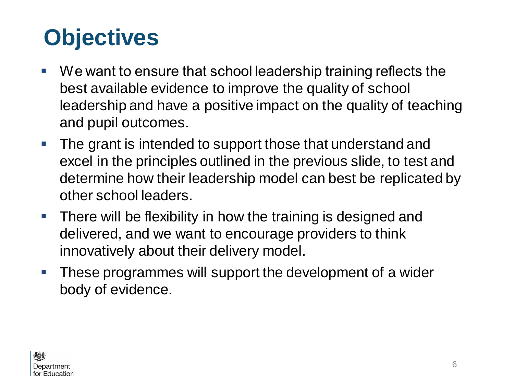### **Objectives**

- We want to ensure that school leadership training reflects the best available evidence to improve the quality of school leadership and have a positive impact on the quality of teaching and pupil outcomes.
- **The grant is intended to support those that understand and** excel in the principles outlined in the previous slide, to test and determine how their leadership model can best be replicated by other school leaders.
- **There will be flexibility in how the training is designed and** delivered, and we want to encourage providers to think innovatively about their delivery model.
- **These programmes will support the development of a wider** body of evidence.

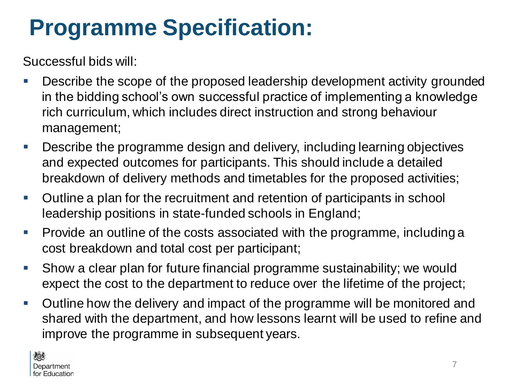### **Programme Specification:**

Successful bids will:

- Describe the scope of the proposed leadership development activity grounded in the bidding school's own successful practice of implementing a knowledge rich curriculum, which includes direct instruction and strong behaviour management;
- Describe the programme design and delivery, including learning objectives and expected outcomes for participants. This should include a detailed breakdown of delivery methods and timetables for the proposed activities;
- Outline a plan for the recruitment and retention of participants in school leadership positions in state-funded schools in England;
- Provide an outline of the costs associated with the programme, including a cost breakdown and total cost per participant;
- Show a clear plan for future financial programme sustainability; we would expect the cost to the department to reduce over the lifetime of the project;
- Outline how the delivery and impact of the programme will be monitored and shared with the department, and how lessons learnt will be used to refine and improve the programme in subsequent years.

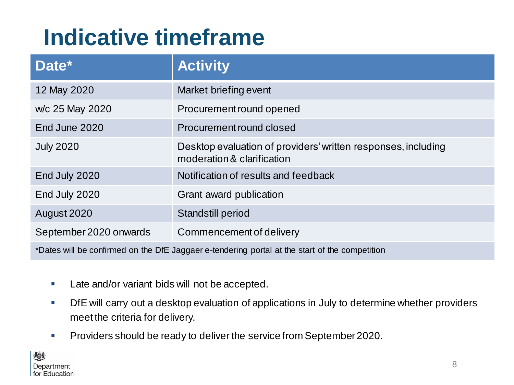#### **Indicative timeframe**

| Date*                                                                                          | <b>Activity</b>                                                                             |
|------------------------------------------------------------------------------------------------|---------------------------------------------------------------------------------------------|
| 12 May 2020                                                                                    | Market briefing event                                                                       |
| w/c 25 May 2020                                                                                | Procurement round opened                                                                    |
| End June 2020                                                                                  | Procurement round closed                                                                    |
| <b>July 2020</b>                                                                               | Desktop evaluation of providers' written responses, including<br>moderation & clarification |
| End July 2020                                                                                  | Notification of results and feedback                                                        |
| End July 2020                                                                                  | Grant award publication                                                                     |
| August 2020                                                                                    | <b>Standstill period</b>                                                                    |
| September 2020 onwards                                                                         | Commencement of delivery                                                                    |
| *Dates will be confirmed on the DfE Jaggaer e-tendering portal at the start of the competition |                                                                                             |

- **EXEC** Late and/or variant bids will not be accepted.
- **Dife will carry out a desktop evaluation of applications in July to determine whether providers** meet the criteria for delivery.
- **Providers should be ready to deliver the service from September 2020.**

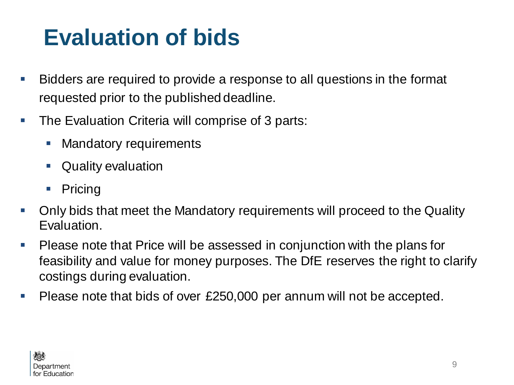### **Evaluation of bids**

- Bidders are required to provide a response to all questions in the format requested prior to the published deadline.
- The Evaluation Criteria will comprise of 3 parts:
	- **Mandatory requirements**
	- Quality evaluation
	- Pricing
- Only bids that meet the Mandatory requirements will proceed to the Quality Evaluation.
- Please note that Price will be assessed in conjunction with the plans for feasibility and value for money purposes. The DfE reserves the right to clarify costings during evaluation.
- Please note that bids of over £250,000 per annum will not be accepted.

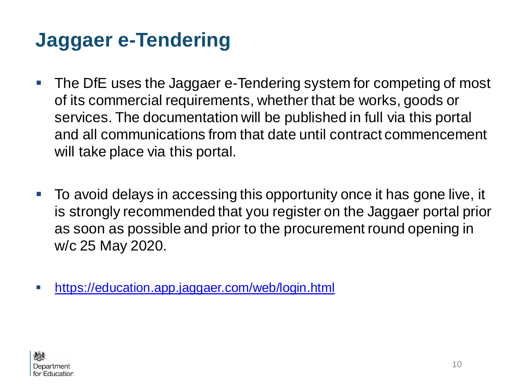#### **Jaggaer e-Tendering**

- The DfE uses the Jaggaer e-Tendering system for competing of most of its commercial requirements, whether that be works, goods or services. The documentation will be published in full via this portal and all communications from that date until contract commencement will take place via this portal.
- To avoid delays in accessing this opportunity once it has gone live, it is strongly recommended that you register on the Jaggaer portal prior as soon as possible and prior to the procurement round opening in w/c 25 May 2020.
- **•** <https://education.app.jaggaer.com/web/login.html>